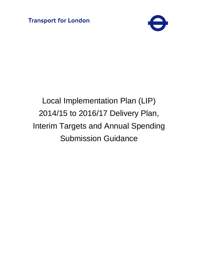

# Local Implementation Plan (LIP) 2014/15 to 2016/17 Delivery Plan, Interim Targets and Annual Spending Submission Guidance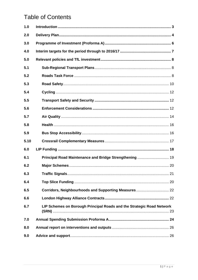## **Table of Contents**

| 1.0  |                                                                       |  |
|------|-----------------------------------------------------------------------|--|
| 2.0  |                                                                       |  |
| 3.0  |                                                                       |  |
| 4.0  |                                                                       |  |
| 5.0  |                                                                       |  |
| 5.1  |                                                                       |  |
| 5.2  |                                                                       |  |
| 5.3  |                                                                       |  |
| 5.4  |                                                                       |  |
| 5.5  |                                                                       |  |
| 5.6  |                                                                       |  |
| 5.7  |                                                                       |  |
| 5.8  |                                                                       |  |
| 5.9  |                                                                       |  |
| 5.10 |                                                                       |  |
| 6.0  |                                                                       |  |
| 6.1  | Principal Road Maintenance and Bridge Strengthening  19               |  |
| 6.2  |                                                                       |  |
| 6.3  |                                                                       |  |
| 6.4  |                                                                       |  |
| 6.5  | Corridors, Neighbourhoods and Supporting Measures 22                  |  |
| 6.6  |                                                                       |  |
| 6.7  | LIP Schemes on Borough Principal Roads and the Strategic Road Network |  |
| 7.0  |                                                                       |  |
| 8.0  |                                                                       |  |
| 9.0  |                                                                       |  |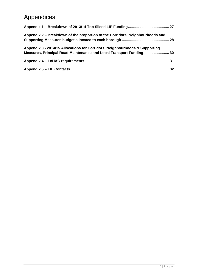# Appendices

| Appendix 2 - Breakdown of the proportion of the Corridors, Neighbourhoods and                                                                      |                 |
|----------------------------------------------------------------------------------------------------------------------------------------------------|-----------------|
| Appendix 3 - 2014/15 Allocations for Corridors, Neighbourhoods & Supporting<br>Measures, Principal Road Maintenance and Local Transport Funding 30 |                 |
|                                                                                                                                                    | 31              |
|                                                                                                                                                    | 32 <sub>2</sub> |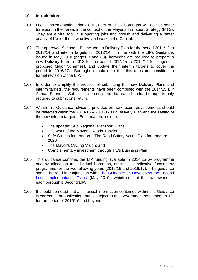#### **1.0 Introduction**

- 1.01 Local Implementation Plans (LIPs) set out how boroughs will deliver better transport in their area, in the context of the Mayor's Transport Strategy (MTS). They are a vital tool in supporting jobs and growth and delivering a better quality of life for those who live and work in the Capital.
- 1.02 The approved Second LIPs included a Delivery Plan for the period 2011/12 to 2013/14 and interim targets for 2013/14. In line with the LIPs Guidance, issued in May 2010 (pages 8 and 63), boroughs are required to prepare a new Delivery Plan in 2013 for the period 2014/15 to 2016/17 (or longer for proposed Major Schemes), and update their interim targets to cover the period to 2016/17. Boroughs should note that this does not constitute a formal revision of the LIP.
- 1.03 In order to simplify the process of submitting the new Delivery Plans and interim targets, the requirements have been combined with the 2014/15 LIP Annual Spending Submission process, so that each London borough is only required to submit one return.
- 1.04 Within this Guidance advice is provided on how recent developments should be reflected within the 2014/15 – 2016/17 LIP Delivery Plan and the setting of the new interim targets. Such matters include:
	- The updated Sub Regional Transport Plans;
	- The work of the Mayor's Roads Taskforce;
	- Safe Streets for London The Road Safety Action Plan for London: 2020;
	- The Mayor's Cycling Vision; and
	- Complementary investment through TfL's Business Plan
- 1.05 This guidance confirms the LIP funding available in 2014/15 by programme and by allocation to individual boroughs, as well as indicative funding by programme for the two following years (2015/16 and 2016/17). The guidance should be read in conjunction with 'The Guidance on Developing the Second Local Implementation Plans' (May 2010), which set out the framework for each borough's Second LIP.
- 1.06 It should be noted that all financial information contained within this Guidance is correct as of publication, but is subject to the Government settlement to TfL for the period of 2015/16 and beyond.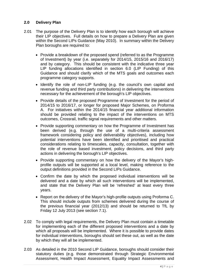#### **2.0 Delivery Plan**

- 2.01 The purpose of the Delivery Plan is to identify how each borough will achieve their LIP objectives. Full details on how to prepare a Delivery Plan are given within the Second LIPs Guidance (May 2010). In summary within the Delivery Plan boroughs are required to:
	- Provide a breakdown of the proposed spend (referred to as the Programme of Investment) by year (i.e. separately for 2014/15, 2015/16 and 2016/17) and by category. This should be consistent with the indicative three year LIP funding allocations identified in section 6.0 (LIP Funding) of this Guidance and should clarify which of the MTS goals and outcomes each programme category supports.
	- Identify the role of non-LIP funding (e.g. the council's own capital and revenue funding and third party contributions) in delivering the interventions necessary for the achievement of the borough's LIP objectives.
	- Provide details of the proposed Programme of Investment for the period of 2014/15 to 2016/17, or longer for proposed Major Schemes, on Proforma A. For initiatives within the 2014/15 financial year additional information should be provided relating to the impact of the interventions on MTS outcomes, Crossrail, traffic signal requirements and other matters.
	- Provide supporting commentary on how the Programme of Investment has been derived (e.g. through the use of a multi-criteria assessment framework considering policy and deliverability objectives), including how potential interventions have been identified and prioritised and practical considerations relating to timescales, capacity, consultation, together with the role of revenue based investment, policy decisions, and third party actions in delivering the borough's LIP objectives.
	- Provide supporting commentary on how the delivery of the Mayor's highprofile outputs will be supported at a local level, making reference to the output definitions provided in the Second LIPs Guidance.
	- Confirm the date by which the proposed individual interventions will be delivered and a date by which all such interventions will be implemented, and state that the Delivery Plan will be 'refreshed' at least every three years.
	- Report on the delivery of the Mayor's high-profile outputs using Proforma C. This should include outputs from schemes delivered during the course of the previous financial year (2012/13) and should be returned to TfL by Friday 12 July 2013 (see section 7.1).
- 2.02 To comply with legal requirements, the Delivery Plan must contain a timetable for implementing each of the different proposed interventions and a date by which all proposals will be implemented. Where it is possible to provide dates for individual interventions, boroughs should set these out, as well as the date by which they will all be implemented.
- 2.03 As detailed in the 2010 Second LIP Guidance, boroughs should consider their statutory duties (e.g. those demonstrated through Strategic Environmental Assessment, Health Impact Assessment, Equality Impact Assessments and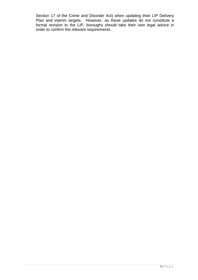Section 17 of the Crime and Disorder Act) when updating their LIP Delivery Plan and interim targets. However, as these updates do not constitute a formal revision to the LIP, boroughs should take their own legal advice in order to confirm the relevant requirements.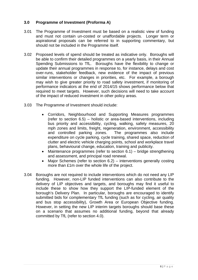#### **3.0 Programme of Investment (Proforma A)**

- 3.01 The Programme of Investment must be based on a realistic view of funding and must not contain un-costed or unaffordable projects. Longer term or aspirational proposals can be referred to in supporting commentary, but should not be included in the Programme itself.
- 3.02 Proposed levels of spend should be treated as indicative only. Boroughs will be able to confirm their detailed programmes on a yearly basis, in their Annual Spending Submissions to TfL. Boroughs have the flexibility to change or update their annual programmes in response to, for instance, delays and cost over-runs, stakeholder feedback, new evidence of the impact of previous similar interventions or changes in priorities, etc. For example, a borough may wish to give greater priority to road safety investment, if monitoring of performance indicators at the end of 2014/15 shows performance below that required to meet targets. However, such decisions will need to take account of the impact of reduced investment in other policy areas.
- 3.03 The Programme of Investment should include:
	- Corridors, Neighbourhood and Supporting Measures programmes (refer to section 6.5) – holistic or area-based interventions, including bus priority and accessibility, cycling, walking, safety measures, 20 mph zones and limits, freight, regeneration, environment, accessibility and controlled parking zones. The programmes also include expenditure on cycle parking, cycle training, shared space, reduction of clutter and electric vehicle charging points, school and workplace travel plans, behavioural change, education, training and publicity.
	- Maintenance programmes (refer to section 6.1) bridge strengthening and assessment, and principal road renewal.
	- Major Schemes (refer to section 6.2) interventions generally costing more than £1m over the whole life of the project.
- 3.04 Boroughs are not required to include interventions which do not need any LIP funding. However, non-LIP funded interventions can also contribute to the delivery of LIP objectives and targets, and boroughs may find it useful to include these to show how they support the LIP-funded element of the borough's Delivery Plan. In particular, boroughs are encouraged to identify submitted bids for complementary TfL funding (such as for cycling, air quality and bus stop accessibility), Growth Area or European Objective funding. However, in setting the new LIP interim targets boroughs should base these on a scenario that assumes no additional funding, beyond that already committed by TfL (refer to section 4.0).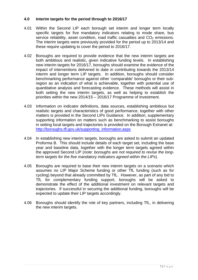#### **4.0 Interim targets for the period through to 2016/17**

- 4.01 Within the Second LIP each borough set interim and longer term locally specific targets for five mandatory indicators relating to mode share, bus service reliability, asset condition, road traffic casualties and  $CO<sub>2</sub>$  emissions. The interim targets were previously provided for the period up to 2013/14 and these require updating to cover the period to 2016/17.
- 4.02 Boroughs are required to provide evidence that the new interim targets are both ambitious and realistic, given indicative funding levels. In establishing new interim targets for 2016/17, boroughs should examine the evidence of the impact of interventions delivered to date in contributing towards the 2013/14 interim and longer term LIP targets. In addition, boroughs should consider benchmarking performance against other 'comparable' boroughs or their subregion as an indication of what is achievable, together with potential use of quantitative analysis and forecasting evidence. These methods will assist in both setting the new interim targets, as well as helping to establish the priorities within the new 2014/15 – 2016/17 Programme of Investment.
- 4.03 Information on indicator definitions, data sources, establishing ambitious but realistic targets and characteristics of good performance, together with other matters is provided in the Second LIPs Guidance. In addition, supplementary supporting information on matters such as benchmarking to assist boroughs in setting local targets and trajectories is provided on the Borough Extranet at: http://boroughs.tfl.gov.uk/supporting\_information.aspx
- 4.04 In establishing new interim targets, boroughs are asked to submit an updated Proforma B. This should include details of each target set, including the base year and baseline data, together with the longer term targets agreed within the approved Second LIP (*note: boroughs are not required to revise the longterm targets for the five mandatory indicators agreed within the LIPs*).
- 4.05 Boroughs are required to base their new interim targets on a scenario which assumes no LIP Major Scheme funding or other TfL funding (such as for cycling) beyond that already committed by TfL. However, as part of any bid to TfL for complementary funding support, boroughs will be asked to demonstrate the effect of the additional investment on relevant targets and trajectories. If successful in securing the additional funding, boroughs will be expected to update their LIP targets accordingly.
- 4.06 Boroughs should identify the role of key partners, including TfL, in delivering the new interim targets.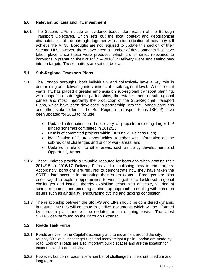#### **5.0 Relevant policies and TfL investment**

5.01 The Second LIPs include an evidence-based identification of the Borough Transport Objectives, which sets out the local context and geographical characteristics of the borough, together with an identification of how they will achieve the MTS. Boroughs are not required to update this section of their Second LIP, however, there have been a number of developments that have taken place since these were produced which are of direct relevance to boroughs in preparing their 2014/15 – 2016/17 Delivery Plans and setting new interim targets. These matters are set out below.

#### **5.1 Sub-Regional Transport Plans**

- 5.1.1 The London boroughs, both individually and collectively have a key role in determining and delivering interventions at a sub-regional level. Within recent years TfL has placed a greater emphasis on sub-regional transport planning, with support for sub-regional partnerships, the establishment of sub-regional panels and most importantly the production of the Sub-Regional Transport Plans, which have been developed in partnership with the London boroughs and other stakeholders. The Sub-Regional Transport Plans (SRTP) have been updated for 2013 to include:
	- Updated information on the delivery of projects, including larger LIP funded schemes completed in 2012/13;
	- Details of committed projects within TfL's new Business Plan;
	- Identification of future opportunities, together with information on the sub-regional challenges and priority work areas; and
	- Updates in relation to other areas, such as policy development and Opportunity Areas.
- 5.1.2 These updates provide a valuable resource for boroughs when drafting their 2014/15 to 2016/17 Delivery Plans and establishing new interim targets. Accordingly, boroughs are required to demonstrate how they have taken the SRTPs into account in preparing their submissions. Boroughs are also encouraged to explore opportunities to work together to tackle sub-regional challenges and issues, thereby exploiting economies of scale, sharing of scarce resources and ensuring a joined-up approach to dealing with common issues such as air quality, encouraging cycling and tackling congestion.
- 5.1.3 The relationship between the SRTPS and LIPs should be considered dynamic in nature. SRTPS will continue to be 'live' documents which will be informed by borough plans and will be updated on an ongoing basis. The latest SRTPS can be found on the Borough Extranet.

#### **5.2 Roads Task Force**

- 5.2.1 Roads are vital to the Capital's economy and to movement around the city; roughly 80% of all passenger trips and many freight trips in London are made by road. London's roads are also important public spaces and are the location for economic and social activity.
- 5.2.2 However, London's roads face a number of challenges in the short, medium and long term: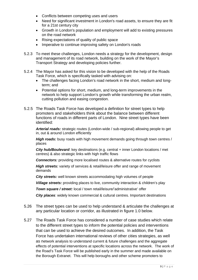- Conflicts between competing uses and users
- Need for significant investment in London's road assets, to ensure they are fit for a 21st century city
- Growth in London's population and employment will add to existing pressures on the road network
- Rising expectations of quality of public space
- Imperative to continue improving safety on London's roads
- 5.2.3 To meet these challenges, London needs a strategy for the development, design and management of its road network, building on the work of the Mayor's Transport Strategy and developing policies further.
- 5.2.4 The Mayor has asked for this vision to be developed with the help of the Roads Task Force, which is specifically tasked with advising on:
	- The challenges facing London's road network in the short, medium and longterm; and
	- Potential options for short, medium, and long-term improvements in the network to help support London's growth while transforming the urban realm, cutting pollution and easing congestion.
- 5.2.5 The Roads Task Force has developed a definition for street types to help promoters and stakeholders think about the balance between different functions of roads in different parts of London. Nine street types have been identified:

*Arterial roads:* strategic routes (London-wide / sub-regional) allowing people to get in, out & around London efficiently

**High roads:** busy roads with high movement demands going through town centres / places

*City hub/Boulevard*: key destinations (e.g. central + inner London locations / met centres) & also strategic links with high traffic flows

**Connectors:** providing more localised routes & alternative routes for cyclists

*High streets: variety of services & retail/leisure offer and range of movement* demands

*City streets:* well known streets accommodating high volumes of people

*Village streets:* providing places to live, community interaction & children's play

*Town square / street:* local / town retail/leisure/'administrative' offer

*City places*: widely known commercial & cultural centres. Important destinations

- 5.26 The street types can be used to help understand & articulate the challenges at any particular location or corridor, as illustrated in figure 1.0 below.
- 5.27 The Roads Task Force has considered a number of case studies which relate to the different street types to inform the potential policies and interventions that can be used to achieve the desired outcomes. In addition, the Task Force has undertaken international reviews of other cities strategies, as well as network analysis to understand current & future challenges and the aggregate effects of potential interventions at specific locations across the network. The work of the Road's Task Force will be published early in the summer and made available on the Borough Extranet. This will help boroughs and other scheme promoters to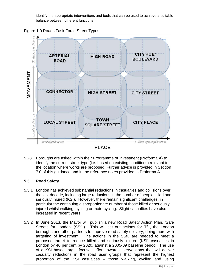identify the appropriate interventions and tools that can be used to achieve a suitable balance between different functions.

Figure 1.0 Roads Task Force Street Types



5.28 Boroughs are asked within their Programme of Investment (Proforma A) to identify the current street type (i.e. based on existing conditions) relevant to the location where works are proposed. Further advice is provided in Section 7.0 of this guidance and in the reference notes provided in Proforma A.

#### **5.3 Road Safety**

- 5.3.1 London has achieved substantial reductions in casualties and collisions over the last decade, including large reductions in the number of people killed and seriously injured (KSI). However, there remain significant challenges, in particular the continuing disproportionate number of those killed or seriously injured whilst walking, cycling or motorcycling. Slight casualties have also increased in recent years.
- 5.3.2 In June 2013, the Mayor will publish a new Road Safety Action Plan, 'Safe Streets for London' (SSfL). This will set out actions for TfL, the London boroughs and other partners to improve road safety delivery, doing more with targeting of investment. The actions in the SSfL are needed to meet a proposed target to reduce killed and seriously injured (KSI) casualties in London by 40 per cent by 2020, against a 2005-09 baseline period. The use of a KSI based target focuses effort towards interventions that will deliver casualty reductions in the road user groups that represent the highest proportion of the KSI casualties – those walking, cycling and using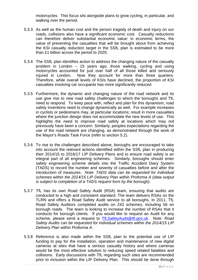motorcycles. This focus sits alongside plans to grow cycling, in particular, and walking over the period.

- 5.3.3 As well as the human cost and the person tragedy of death and injury on our roads, collisions also have a significant economic cost. Casualty reductions can therefore deliver substantial economic value: in economic terms, the value of preventing the casualties that will be brought about from achieving the KSI casualty reduction target in the SSfL plan is estimated to be more than £1 billion across the period to 2020.
- 5.3.4 The SSfL plan identifies action to address the changing nature of the casualty problem in London – 15 years ago, those walking, cycling and using motorcycles accounted for just over half of all those killed and seriously injured in London. Now they account for more than three quarters. Therefore, while overall levels of KSIs have declined, the proportion of KSI casualties involving car occupants has more significantly reduced.
- 5.3.5 Furthermore, the dynamic and changing nature of the road network and its use give rise to new road safety challenges to which the boroughs and TfL need to respond. To keep pace with, reflect and plan for this dynamism, road safety inventions need to change dynamically as well. For example increases in cyclists or pedestrians may, at particular locations; result in more casualties where the junction design does not accommodate the new levels of use. This highlights the need to improve road safety at locations which may not previously have been a concern. Similarly, peoples expectations regarding the use of the road network are changing, as demonstrated through the work of the Mayor's Roads Task Force (refer to section 5.2).
- 5.3.6 To rise to the challenges described above, boroughs are encouraged to take into account the relevant actions identified within the SSfL plan in producing their 2014/15 to 2016/17 LIP Delivery Plans and to ensure road safety is an integral part of all engineering schemes. Similarly, boroughs should enter safety engineering scheme details into the Traffic Accident Diary System (TADS) to record the number and severity of casualties before and after the introduction of measures. *Note: TADS data can be requested for individual schemes within the 2014/15 LIP Delivery Plan within Proforma A (data output is subject to completion of a TADS request form by the borough).*
- 5.3.7 TfL has its own Road Safety Audit (RSA) team, ensuring that audits are conducted to a high and consistent standard. The team delivers RSAs on the TLRN and offers a Road Safety Audit service to all boroughs. In 2011, TfL Road Safety Auditors completed audits on 243 schemes, including 56 on borough roads. The team is looking to increase the number of RSAs that it conducts for borough clients. If you would like to request an Audit for any scheme, please send a request to TfLSafetyAudit@tfl.gov.uk. *Note: Road Safety Audits can be requested for individual schemes within the 2014/15 LIP Delivery Plan within Proforma A.*
- 5.3.8 Reference is also made within the SSfL plan to the potential use of LIP funding to pay for the installation, operation and maintenance of new digital cameras at sites that have a serious casualty history and where cameras would be the most effective solution to reducing speed related fatalities and collisions. Early discussions with TfL regarding such sites are recommended prior to inclusion within the LIP Delivery Plan. This should be done through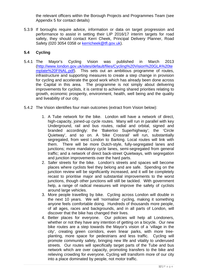the relevant officers within the Borough Projects and Programmes Team (see Appendix 5 for contact details)

5.3.9 If boroughs require advice, information or data on target progression and performance to assist in setting their LIP 2016/17 interim targets for road safety, they should contact Kerri Cheek, Principal Delivery Planner, Road Safety (020 3054 0358 or kerricheek@tfl.gov.uk).

#### **5.4 Cycling**

- 5.4.1 The Mayor's Cycling Vision was published in March 2013 (http://www.london.gov.uk/sites/default/files/Cycling%20Vision%20GLA%20te mplate%20FINAL.pdf). This sets out an ambitious programme of routes, infrastructure and supporting measures to create a step change in provision for cycling and accelerate the good work which has already been done across the Capital in this area. The programme is not simply about delivering improvements for cyclists, it is central to achieving shared priorities relating to growth, economic prosperity, environment, health, well being and the quality and liveability of our city.
- 5.4.2 The Vision identifies four main outcomes (extract from Vision below):
	- 1. A Tube network for the bike. London will have a network of direct, high-capacity, joined-up cycle routes. Many will run in parallel with key Underground, rail and bus routes, radial and orbital, signed and branded accordingly: the 'Bakerloo Superhighway'; the 'Circle Quietway', and so on. A 'bike Crossrail' will run, substantially segregated, from west London to Barking. Local routes will link with them. There will be more Dutch-style, fully-segregated lanes and junctions; more mandatory cycle lanes, semi-segregated from general traffic; and a network of direct back-street Quietways, with segregation and junction improvements over the hard parts.
	- 2. Safer streets for the bike. London's streets and spaces will become places where cyclists feel they belong and are safe. Spending on the junction review will be significantly increased, and it will be completely recast to prioritise major and substantial improvements to the worst junctions, though other junctions will still be tackled. With government help, a range of radical measures will improve the safety of cyclists around large vehicles.
	- 3. More people travelling by bike. Cycling across London will double in the next 10 years. We will 'normalise' cycling, making it something anyone feels comfortable doing. Hundreds of thousands more people, of all ages, races and backgrounds, and in all parts of London, will discover that the bike has changed their lives.
	- 4. Better places for everyone. Our policies will help all Londoners, whether or not they have any intention of getting on a bicycle. Our new bike routes are a step towards the Mayor's vision of a 'village in the city', creating green corridors, even linear parks, with more treeplanting, more space for pedestrians and less traffic. Cycling will promote community safety, bringing new life and vitality to underused streets. Our routes will specifically target parts of the Tube and bus network which are over capacity, promoting transfers to the bike and relieving crowding for everyone. Cycling will transform more of our city into a place dominated by people, not motor traffic.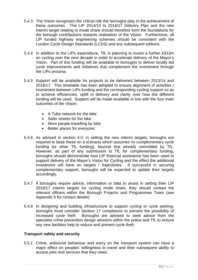- 5.4.3 The Vision recognises the critical role the boroughs play in the achievement of these outcomes. The LIP 2014/15 to 2016/17 Delivery Plan and the new interim target relating to mode share should therefore form the foundations for the borough contributions towards realisation of the Vision. Furthermore, all LIP funded highway engineering schemes should be consistent with the London Cycle Design Standards (LCDS) and any subsequent editions.
- 5.4.4 In addition to the LIPs expenditure, TfL is planning to invest a further £913m on cycling over the next decade in order to accelerate delivery of the Mayor's Vision. Part of this funding will be available to boroughs to deliver locally led cycle improvements and initiatives that complement the investment through the LIPs process.
- 5.4.5 Support will be available for projects to be delivered between 2013/14 and 2016/17. This timetable has been adopted to ensure alignment of activities / investment between LIPs funding and the corresponding cycling support so as to achieve efficiencies, uplift in delivery and clarity over how the different funding will be used. Support will be made available in line with the four main outcomes of the Vision:
	- A Tube network for the bike
	- Safer streets for the bike
	- More people travelling by bike
	- Better places for everyone.
- 5.4.6 As advised in section 4.0, in setting the new interim targets, boroughs are required to base these on a scenario which assumes no complementary cycle funding (or other TfL funding), beyond that already committed by TfL. However, as part of any submission to TfL for complementary funding, boroughs should demonstrate how LIP financial assistance has been used to support delivery of the Mayor's Vision for Cycling and the effect the additional investment will have on targets / trajectories. If successful in securing complementary support, boroughs will be expected to update their targets accordingly.
- 5.4.7 If boroughs require advice, information or data to assist in setting their LIP 2016/17 interim targets for cycling mode share, they should contact the relevant officers within the Borough Projects and Programmes Team (see Appendix 5 for contact details)
- 5.4.8 In designing and building infrastructure to support cycling or cycle parking, boroughs must consider Section 17 compliance to prevent the possibility of increased cycle theft. Boroughs are advised to seek advice from the specialist crime prevention design advisors within the police and TfL to ensure any new facilities help to reduce and prevent cycle theft.

#### **Transport safety and security**

5.5.1 Crime, antisocial behaviour and worry on the transport system can have a major effect on peoples' willingness to travel and their subsequent ability to access jobs and services that they need.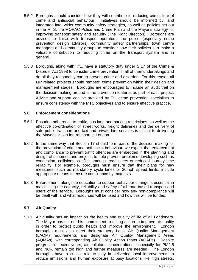- 5.5.2 Boroughs should consider how they will contribute to reducing crime, fear of crime and antisocial behaviour. Initiatives should be informed by, and integrated into, wider community safety strategies, as well as policies set out in the MTS, the MOPAC Police and Crime Plan and the Mayor's strategy for improving transport safety and security (The Right Direction). Boroughs are advised to liaise with transport operators, the police (especially crime prevention design advisors), community safety partnerships, town centre managers and community groups to consider how their policies can make a valuable contribution to reducing crime on the transport system and in general.
- 5.5.3 Boroughs, along with TfL, have a statutory duty under S.17 of the Crime & Disorder Act 1998 to consider crime prevention in all of their undertakings and do all they reasonably can to prevent crime and disorder. For this reason all LIP related projects should "embed" crime prevention within their design and management stages. Boroughs are encouraged to include an audit trail on the decision-making around crime prevention features as part of each project. Advice and support can be provided by TfL crime prevention specialists to ensure consistency with the MTS objectives and to ensure effective practice.

#### **5.6 Enforcement considerations**

- 5.6.1 Ensuring adherence to traffic, bus lane and parking restrictions, as well as the effective co-ordination of street works, freight deliveries and the delivery of safe public transport and taxi and private hire services is critical to delivering the Mayor's vision for transport in London. .
- 5.6.2 In the same way that Section 17 should form part of the decision making for the prevention of crime and anti-social behaviour, we expect that enforcement and compliance to prevent traffic offences are embedded in the planning and design of schemes and projects to help prevent problems developing such as congestion, collisions, conflict amongst road users or reduced journey time reliability. For example, boroughs must ensure that their plans for new measures, such as mandatory cycle lanes or 20mph speed limits, include appropriate means to ensure compliance by motorists.
- 5.6.3 Enforcement, alongside education to support behaviour change is essential in maximising the capacity, reliability and safety of all road based transport and users of the service. Boroughs must consider how any non-compliance will be dealt with and what resources will be used and how this will be funded.

#### **5.7 Air Quality**

5.7.1 Air quality has an impact on the health and quality of life of all Londoners. The Mayor has set out his commitment to taking action to improve air quality in order to protect public health and improve the environment. London boroughs must also meet their statutory Local Air Quality Management (LAQM) requirements and designate Air Quality Management Areas (AQMAs), with corresponding Air Quality Action Plans (AQAPs). Despite progress in recent years, air pollutant concentrations, especially for PM2.5 and NO<sub>2</sub>, remain too high and further measures are needed. The London boroughs have a critical role to play in delivering local improvements to reduce emissions and human exposure at busy locations like high streets,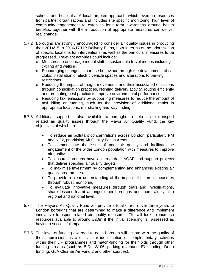schools and hospitals. A local targeted approach, which levers in resources from partner organisations and includes site specific monitoring, high level of community engagement to establish long term awareness around health benefits, together with the introduction of appropriate measures can deliver real change.

- 5.7.2 Boroughs are strongly encouraged to consider air quality issues in producing their 2014/15 to 2016/17 LIP Delivery Plans, both in terms of the prioritisation of specific locations for interventions, as well as the particular measures to be progressed. Relevant activities could include:
	- o Measures to encourage modal shift to sustainable travel modes including cycling and walking.
	- o Encouraging changes in car use behaviour through the development of car clubs, installation of electric vehicle spaces and alterations to parking restrictions.
	- o Reducing the impact of freight movements and their associated emissions through consolidation practices, retiming delivery activity, routing efficiently and promoting best practice to improve environmental performance.
	- o Reducing taxi emissions by supporting measures to reduce the amount of taxi idling or running, such as the provision of additional ranks in appropriate locations, marshalling and way finding.
- 5.7.3 Additional support is also available to boroughs to help tackle transport related air quality issues through the Mayor Air Quality Fund, the key objectives of which are:
	- To reduce air pollutant concentrations across London, particularly PM and NO2, prioritising Air Quality Focus Areas
	- To communicate the issue of poor air quality and facilitate the engagement of the wider London population with measures to improve air quality
	- To ensure boroughs have an up-to-date AQAP and support projects that deliver specified air quality targets
	- To maximise investment by complementing and enhancing existing air quality programmes
	- To provide a clear understanding of the impact of different measures through robust monitoring
	- To evaluate innovative measures through trials and investigations, share lessons learnt amongst other boroughs and more widely at a regional and national level.
- 5.7.4 The Mayor's Air Quality Fund will provide a total of £6m over three years to London boroughs that are determined to make a difference and implement innovative transport related air quality measures. TfL will look to increase resources available to around £20m if the initial spending is assessed as having a successful impact.
- 5.7.5 The level of funding awarded to each borough will accord with the quality of their submission, as well as clear identification of complementary activities within their LIP programmes and match-funding for their bids through other funding streams (such as BIDs, S106, parking revenues, EU funding, Defra funding, GLA Cleaner Air Fund 2 and other sources).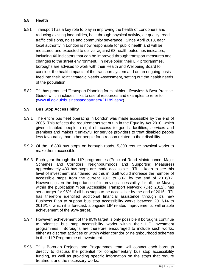#### **5.8 Health**

- 5.81 Transport has a key role to play in improving the health of Londoners and reducing existing inequalities, be it through physical activity, air quality, road traffic collisions, noise and community severance. Since April 2013, each local authority in London is now responsible for public health and will be measured and expected to deliver against 68 health outcomes indicators, including 40 indicators that can be improved through transport measures and changes to the street environment. In developing their LIP programmes, boroughs are advised to work with their Health and Wellbeing Board to consider the health impacts of the transport system and on an ongoing basis feed into their Joint Strategic Needs Assessment, setting out the health needs of the population.
- 5.82 TfL has produced 'Transport Planning for Healthier Lifestyles: A Best Practice Guide' which includes links to useful resources and examples to refer to (www.tfl.gov.uk/businessandpartners/21189.aspx).

#### **5.9 Bus Stop Accessibility**

- 5.9.1 The entire bus fleet operating in London was made accessible by the end of 2005. This reflects the requirements set out in in the Equality Act 2010, which gives disabled people a right of access to goods, facilities, services and premises and makes it unlawful for service providers to treat disabled people less favourably than other people for a reason related to their disability.
- 5.9.2 Of the 16,800 bus stops on borough roads, 5,300 require physical works to make them accessible.
- 5.9.3 Each year through the LIP programmes (Principal Road Maintenance, Major Schemes and Corridors, Neighbourhoods and Supporting Measures) approximately 430 bus stops are made accessible. TfL is keen to see this level of investment maintained, as this in itself would increase the number of accessible stops from the current 70% to 80% by the end of 2016/17. However, given the importance of improving accessibility for all, the Mayor, within the publication 'Your Accessible Transport Network' (Dec 2012), has set a target for 95% of all bus stops to be accessible by the end of 2016. TfL has therefore identified additional financial assistance through it's new Business Plan to support bus stop accessibility works between 2013/14 to 2016/17, which it is forecast, alongside LIP related improvements, will enable achievement of the 95% target.
- 5.9.4 However, achievement of the 95% target is only possible if boroughs continue to prioritise bus stop accessibility works within their LIP investment programmes. Boroughs are therefore encouraged to include such works, either as discreet activities or within wider corridor or neighbourhood schemes in their LIP Programme of Investment.
- 5.95 TfL's Borough Projects and Programmes team will contact each borough directly to discuss the potential for complementary bus stop accessibility funding, as well as providing specific information on the stops that require treatment and the necessary works.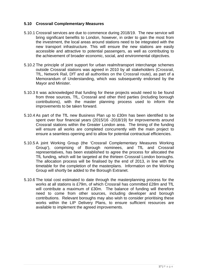#### **5.10 Crossrail Complementary Measures**

- 5.10.1 Crossrail services are due to commence during 2018/19. The new service will bring significant benefits to London, however, in order to gain the most from the investment, the local areas around stations need to be integrated with the new transport infrastructure. This will ensure the new stations are easily accessible and attractive to potential passengers, as well as contributing to the achievement of broader economic, social, and environmental objectives.
- 5.10.2 The principle of joint support for urban realm/transport interchange schemes outside Crossrail stations was agreed in 2010 by all stakeholders (Crossrail, TfL, Network Rail, DfT and all authorities on the Crossrail route), as part of a Memorandum of Understanding, which was subsequently endorsed by the Mayor and Minister.
- 5.10.3 It was acknowledged that funding for these projects would need to be found from three sources, TfL, Crossrail and other third parties (including borough contributions), with the master planning process used to inform the improvements to be taken forward.
- 5.10.4 As part of the TfL new Business Plan up to £30m has been identified to be spent over four financial years (2015/16 -2018/19) for improvements around Crossrail stations within the Greater London area. The timing of the funding will ensure all works are completed concurrently with the main project to ensure a seamless opening and to allow for potential contractual efficiencies.
- 5.10.5 A joint Working Group (the 'Crossrail Complementary Measures Working Group'), comprising of Borough nominees, and TfL and Crossrail representatives, has been established to agree the process for allocated the TfL funding, which will be targeted at the thirteen Crossrail London boroughs. The allocation process will be finalised by the end of 2013, in line with the timetable for the completion of the masterplans. Information on the Working Group will shortly be added to the Borough Extranet.
- 5.10.6 The total cost estimated to date through the masterplanning process for the works at all stations is £79m, of which Crossrail has committed £28m and TfL will contribute a maximum of £30m. The balance of funding will therefore need to come from other sources, including developer and borough contributions. Relevant boroughs may also wish to consider prioritising these works within the LIP Delivery Plans, to ensure sufficient resources are available to implement the agreed improvements.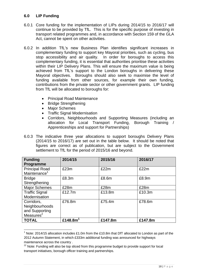#### **6.0 LIP Funding**

- 6.0.1 Core funding for the implementation of LIPs during 2014/15 to 2016/17 will continue to be provided by TfL. This is for the specific purpose of investing in transport related programmes and, in accordance with Section 159 of the GLA Act, cannot be spent on other activities.
- 6.0.2 In addition TfL's new Business Plan identifies significant increases in complementary funding to support key Mayoral priorities, such as cycling, bus stop accessibility and air quality. In order for boroughs to access this complementary funding, it is essential that authorities prioritise these activities within their LIP Delivery Plans. This will ensure the maximum value is being achieved from TfL's support to the London boroughs in delivering these Mayoral objectives. Boroughs should also seek to maximise the level of funding available from other sources, for example their own funding, contributions from the private sector or other government grants. LIP funding from TfL will be allocated to boroughs for:
	- Principal Road Maintenance
	- Bridge Strengthening
	- Major Schemes
	- Traffic Signal Modernisation
	- Corridors, Neighbourhoods and Supporting Measures (including an allocation for Local Transport Funding, Borough Training / Apprenticeships and support for Partnerships)
- 6.0.3 The indicative three year allocations to support boroughs Delivery Plans (2014/15 to 2016/17) are set out in the table below. It should be noted that figures are correct as of publication, but are subject to the Government settlement to TfL for the period of 2015/16 and beyond.

| <b>Funding</b><br>Programme                                    | 2014/15              | 2015/16 | 2016/17 |
|----------------------------------------------------------------|----------------------|---------|---------|
| <b>Principal Road</b><br>Maintenance <sup>1</sup>              | £23m                 | £22m    | £22m    |
| <b>Bridge</b><br>Strengthening                                 | £8.3m                | £8.6m   | £8.9m   |
| <b>Major Schemes</b>                                           | £28m                 | £28m    | £28m    |
| <b>Traffic Signal</b><br>Modernisation                         | £12.7m               | £13.8m  | £10.3m  |
| Corridors,<br>Neighbourhoods<br>and Supporting<br>Measures $2$ | £76.8m               | £75.4m  | £78.6m  |
| <b>TOTAL</b>                                                   | £148.8m <sup>1</sup> | £147.8m | £147.8m |

 1 Note: 2014/15 allocation includes £1.0m from the £10.8m that DfT allocated to London as part of the 2012 Autumn Statement, in which £333m additional funding was announced for highways maintenance across the country .

 $22$  Note: Funding will also be top sliced from this programme budget to provide support for local transport initiatives, borough officer training and partnerships.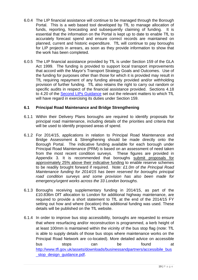- 6.0.4 The LIP financial assistance will continue to be managed through the Borough Portal. This is a web based tool developed by TfL to manage allocation of funds, reporting, forecasting and subsequently claiming of funding. It is essential that the information on the Portal is kept up to date to enable TfL to accurately forecast spend and ensure correct records are maintained on planned, current and historic expenditure. TfL will continue to pay boroughs for LIP projects in arrears, as soon as they provide information to show that the work has been completed.
- 6.0.5 The LIP financial assistance provided by TfL is under Section 159 of the GLA Act 1999. The funding is provided to support local transport improvements that accord with the Mayor's Transport Strategy Goals and Outcomes. Use of the funding for purposes other than those for which it is provided may result in TfL requiring repayment of any funding already provided and/or withholding provision of further funding. TfL also retains the right to carry out random or specific audits in respect of the financial assistance provided. Sections 4.18 to 4.20 of the Second LIPs Guidance set out the relevant matters to which TfL will have regard in exercising its duties under Section 159.

#### **6.1 Principal Road Maintenance and Bridge Strengthening**

- 6.1.1 Within their Delivery Plans boroughs are required to identify proposals for principal road maintenance, including details of the priorities and criteria that will be used to identify proposed areas of spend.
- 6.1.2 For 2014/15, applications in relation to Principal Road Maintenance and Bridge Assessment & Strengthening should be made directly onto the Borough Portal. The indicative funding available for each borough under Principal Road Maintenance (PRM) is based on an assessment of need taken from the most recent condition surveys. These figures are provided in Appendix 3. It is recommended that boroughs submit proposals for approximately 25% above their indicative funding to enable reserve schemes to be readily brought forward if required. *Note: £1.0m of the Principal Road Maintenance funding for 2014/15 has been reserved for boroughs principal road condition surveys and some provision has also been made for emergency/urgent works across the 33 London boroughs.*
- 6.1.3 Boroughs receiving supplementary funding in 2014/15, as part of the £10.836m DfT allocation to London for additional highway maintenance, are required to provide a short statement to TfL at the end of the 2014/15 FY setting out how and where (location) this additional funding was used. These details will be published on the TfL website.
- 6.1.4 In order to improve bus stop accessibility, boroughs are requested to ensure that where resurfacing and/or reconstruction is programmed, a kerb height of at least 100mm is maintained within the vicinity of the bus stop flag (note: TfL is able to supply details of those bus stops where maintenance works on the Principal Road Network are co-located). More detailed advice on accessible bus stops can be found at http://www.tfl.gov.uk/assets/downloads/businessandpartners/accessibile\_bus stop\_design\_guidance.pdf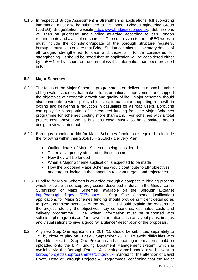6.1.5 In respect of Bridge Assessment & Strengthening applications, full supporting information must also be submitted to the London Bridge Engineering Group (LoBEG) 'BridgeStation' website http://www.bridgestation.co.uk. Submissions will then be prioritised and funding awarded according to pan London requirements and available resources. The submission to the LoBEG website must include the completion/update of the borough structure registers, boroughs must also ensure that BridgeStation contains full inventory details of all bridges strengthened to date and those still to be considered for strengthening. It should be noted that no application will be considered either by LoBEG or Transport for London unless this information has been provided in full.

#### **6.2 Major Schemes**

- 6.2.1 The focus of the Major Schemes programme is on delivering a small number of high value schemes that make a transformational improvement and support the objectives of economic growth and quality of life. Major schemes should also contribute to wider policy objectives, in particular supporting a growth in cycling and delivering a reduction in casualties for all road users. Boroughs can apply for a proportion of the required funding from the Major Schemes programme for schemes costing more than £1m. For schemes with a total project cost above £2m, a business case must also be submitted and a design review carried out.
- 6.2.2 Boroughs planning to bid for Major Schemes funding are required to include the following within their 2014/15 – 2016/17 Delivery Plan:
	- Outline details of Major Schemes being considered
	- The relative priority attached to those schemes
	- How they will be funded
	- When a Major Scheme application is expected to be made
	- How the proposed Major Schemes would contribute to LIP objectives and targets, including the impact on relevant targets and trajectories.
- 6.2.3 Funding for Major Schemes is awarded through a competitive bidding process which follows a three-step progression described in detail in the Guidance for Submission of Major Schemes (available on the Borough Extranet http://boroughs.tfl.gov.uk/737.aspx#. Step One (scheme justification) applications for Major Schemes funding should provide sufficient detail so as to give a complete overview of the project. It should explain the reasons for the project, identify the objectives, key components, estimated costs and delivery programme. The written information must be supported with sufficient photographic and/or drawn information such as layout plans, images and visualisations to give a good "at a glance" description of the proposals.
- 6.2.4 Any new Step One application in 2014/15 should be submitted separately to TfL by close of play on Friday 6 September 2013. To avoid difficulties with large file sizes, the Step One Proforma and supporting information should be uploaded onto the LIP Funding Document Management system, which is available via the Borough Portal. A covering e-mail should also be sent to boroughprojectsandprogrammes@tfl.gov.uk, marked for the attention of David Rowe, Head of Borough Projects & Programmes, confirming that the Major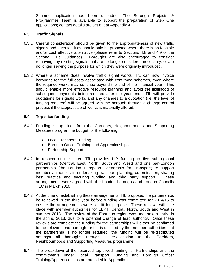Scheme application has been uploaded. The Borough Projects & Programmes Team is available to support the preparation of Step One applications; contact details are set out at Appendix 4.

#### **6.3 Traffic Signals**

- 6.3.1 Careful consideration should be given to the appropriateness of new traffic signals and such facilities should only be proposed where there is no feasible and/or cost effective alternative (please refer to Sections 4.8 and 4.9 of the Second LIPs Guidance). Boroughs are also encouraged to consider removing any existing signals that are no longer considered necessary, or are no longer serving the purpose for which they were originally introduced.
- 6.3.2 Where a scheme does involve traffic signal works, TfL can now invoice boroughs for the full costs associated with confirmed schemes, even where the required works may continue beyond the end of the financial year. This should enable more effective resource planning and avoid the likelihood of subsequent payments being required after the year end. TfL will provide quotations for signals works and any changes to a quotation (i.e. the level of funding required) will be agreed with the borough through a change control process if the scope/scale of works is materially altered.

#### **6.4 Top slice funding**

- 6.4.1 Funding is top-sliced from the Corridors, Neighbourhoods and Supporting Measures programme budget for the following:
	- Local Transport Funding
	- Borough Officer Training and Apprenticeships
	- Partnership Support
- 6.4.2 In respect of the latter, TfL provides LIP funding to five sub-regional partnerships (Central, East, North, South and West) and one pan-London partnership (the London European Partnership for Transport) to support member authorities in undertaking transport planning, co-ordination, sharing best practice and securing funding and third party support. These arrangements were agreed with the London boroughs and London Councils TEC in March 2010.
- 6.4.3 At the time of establishing these arrangements, TfL proposed the partnerships be reviewed in the third year before funding was committed for 2014/15 to ensure the arrangements were still fit for purpose. These reviews will take place with member authorities for LEPT, Central, North, South and West in summer 2013. The review of the East sub-region was undertaken early, in the spring 2013, due to a potential change of lead authority. Once these reviews are complete the funding for the partnerships will either be confirmed to the relevant lead borough, or if it is decided by the member authorities that the partnership is no longer required, the funding will be re-distributed amongst all boroughs through a re-allocation to the Corridors, Neighbourhoods and Supporting Measures programme.
- 6.4.4 The breakdown of the reserved top-sliced funding for Partnerships and the commitments under Local Transport Funding and Borough Officer Training/Apprenticeships are provided in Appendix 1.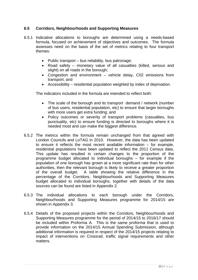#### **6.5 Corridors, Neighbourhoods and Supporting Measures**

- 6.5.1 Indicative allocations to boroughs are determined using a needs-based formula, focused on achievement of objectives and outcomes. The formula assesses need on the basis of the set of metrics relating to four transport themes:
	- $\bullet$  Public transport bus reliability, bus patronage;
	- Road safety monetary value of all casualties (killed, serious and slight) on all roads in the borough;
	- Congestion and environment vehicle delay, C02 emissions from transport; and
	- Accessibility residential population weighted by index of deprivation.

The indicators included in the formula are intended to reflect both:

- The scale of the borough and its transport demand / network (number of bus users, residential population, etc) to ensure that larger boroughs with more users get extra funding; and
- Policy outcomes or severity of transport problems (casualties, bus punctuality, etc) to ensure funding is directed to boroughs where it is needed most and can make the biggest difference.
- 6.5.2 The metrics within the formula remain unchanged from that agreed with London Councils and LoTAG in 2010. However, the data has been updated to ensure it reflects the most recent available information – for example, residential populations have been updated to reflect the 2011 Census data. This update has resulted in certain changes to the proportion of the programme budget allocated to individual boroughs – for example if the population of one borough has grown at a more significant rate than for other authorities, then the relevant borough is likely to receive a greater proportion of the overall budget. A table showing the relative difference in the percentage of the Corridors, Neighbourhoods and Supporting Measures budget allocated to individual boroughs, together with details of the data sources can be found are listed in Appendix 2.
- 6.5.3 The individual allocations to each borough under the Corridors, Neighbourhoods and Supporting Measures programme for 2014/15 are shown in Appendix 3.
- 6.5.4 Details of the proposed projects within the Corridors, Neighbourhoods and Supporting Measures programme for the period of 2014/15 to 2016/17 should be included within Proforma A. This is the same proforma that is used to provide information on the 2014/15 Annual Spending Submission, although additional information is required in respect of the 2014/15 projects relating to impact of interventions on Crossrail, traffic signal requirements and other matters.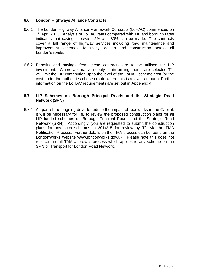#### **6.6 London Highways Alliance Contracts**

- 6.6.1 The London Highway Alliance Framework Contracts (LoHAC) commenced on 1<sup>st</sup> April 2013. Analysis of LoHAC rates compared with TfL and borough rates indicates that savings between 5% and 30% can be made. The contracts cover a full range of highway services including road maintenance and improvement schemes, feasibility, design and construction across all London's roads.
- 6.6.2 Benefits and savings from these contracts are to be utilised for LIP investment. Where alternative supply chain arrangements are selected TfL will limit the LIP contribution up to the level of the LoHAC scheme cost (or the cost under the authorities chosen route where this is a lower amount). Further information on the LoHAC requirements are set out in Appendix 4.

#### **6.7 LIP Schemes on Borough Principal Roads and the Strategic Road Network (SRN)**

6.7.1 As part of the ongoing drive to reduce the impact of roadworks in the Capital, it will be necessary for TfL to review the proposed construction plans for all LIP funded schemes on Borough Principal Roads and the Strategic Road Network (SRN). Accordingly, you are requested to submit the construction plans for any such schemes in 2014/15 for review by TfL via the TMA Notification Process. Further details on the TMA process can be found on the LondonWorks website www.londonworks.gov.uk. Please note this does not replace the full TMA approvals process which applies to any scheme on the SRN or Transport for London Road Network.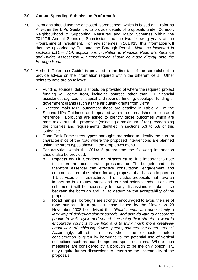#### **7.0 Annual Spending Submission Proforma A**

- 7.0.1 Boroughs should use the enclosed spreadsheet, which is based on 'Proforma A' within the LIPs Guidance, to provide details of proposals under Corridor, Neighbourhood & Supporting Measures and Major Schemes within the 2014/15 Annual Spending Submission and the two following years of the Programme of Investment. For new schemes in 2014/15, this information will then be uploaded by TfL onto the Borough Portal. *Note: as indicated in sections 6.11 – 6.14, applications in relation to Principal Road Maintenance and Bridge Assessment & Strengthening should be made directly onto the Borough Portal.*
- 7.0.2 A short 'Reference Guide' is provided in the first tab of the spreadsheet to provide advice on the information required within the different cells. Other points to note are as follows:
	- Funding sources: details should be provided of where the required project funding will come from, including sources other than LIP financial assistance, e.g. council capital and revenue funding, developer funding or government grants (such as the air quality grants from Defra).
	- Expected main MTS outcomes: these are detailed in Table 2.1 of the Second LIPs Guidance and repeated within the spreadsheet for ease of reference. Boroughs are asked to identify those outcomes which are most relevant to the proposals (selecting a maximum of ten), recognising the priorities and requirements identified in sections 5.3 to 5.8 of this Guidance.
	- Road Task Force street types: boroughs are asked to identify the current characteristics of the road where the proposed interventions are planned using the street types shown in the drop down menu.
	- For activities within the 2014/15 programme the following information should also be provided:
		- o **Impacts on TfL Services or Infrastructure:** it is important to note that there are considerable pressures on TfL budgets and it is therefore essential that effective consultation, engagement and communication takes place for any proposal that has an impact on TfL services or infrastructure. This includes proposals that have an impact on bus routes, stops and terminal points/stands. For such schemes it will be necessary for early discussions to take place between the borough and TfL to determine the acceptability of the proposals.
		- o **Road humps:** boroughs are strongly encouraged to avoid the use of road humps. In a press release issued by the Mayor on 28 November 2008 he advised that "*Road humps are often simply a lazy way of delivering slower speeds, and also do little to encourage people to walk, cycle and spend time using their streets. I want to encourage councils to be bold and to think much more creatively about ways of achieving slower speeds, and creating better streets."*  Accordingly, all other options should be exhausted before consideration is given by boroughs to the potential use of vertical deflections such as road humps and speed cushions. Where such measures are considered by a borough to be the only option, TfL may require further discussions to determine the acceptability of the proposals.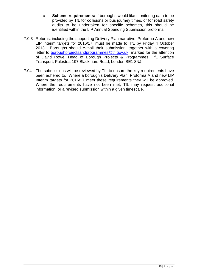- o **Scheme requirements:** If boroughs would like monitoring data to be provided by TfL for collisions or bus journey times, or for road safety audits to be undertaken for specific schemes, this should be identified within the LIP Annual Spending Submission proforma.
- 7.0.3 Returns, including the supporting Delivery Plan narrative, Proforma A and new LIP interim targets for 2016/17, must be made to TfL by Friday 4 October 2013. Boroughs should e-mail their submission, together with a covering letter to **boroughprojectsandprogrammes**@tfl.gov.uk, marked for the attention of David Rowe, Head of Borough Projects & Programmes, TfL Surface Transport, Palestra, 197 Blackfriars Road, London SE1 8NJ.
- 7.04 The submissions will be reviewed by TfL to ensure the key requirements have been adhered to. Where a borough's Delivery Plan, Proforma A and new LIP Interim targets for 2016/17 meet these requirements they will be approved. Where the requirements have not been met, TfL may request additional information, or a revised submission within a given timescale.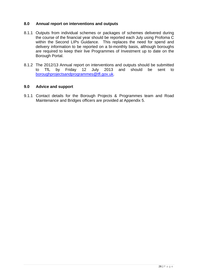#### **8.0 Annual report on interventions and outputs**

- 8.1.1 Outputs from individual schemes or packages of schemes delivered during the course of the financial year should be reported each July using Profoma C within the Second LIPs Guidance. This replaces the need for spend and delivery information to be reported on a bi-monthly basis, although boroughs are required to keep their live Programmes of Investment up to date on the Borough Portal.
- 8.1.2 The 2012/13 Annual report on interventions and outputs should be submitted to TfL by Friday 12 July 2013 and should be sent to boroughprojectsandprogrammes@tfl.gov.uk.

#### **9.0 Advice and support**

9.1.1 Contact details for the Borough Projects & Programmes team and Road Maintenance and Bridges officers are provided at Appendix 5.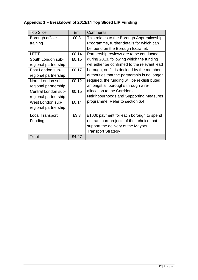## **Appendix 1 – Breakdown of 2013/14 Top Sliced LIP Funding**

| <b>Top Slice</b>       | £m    | Comments                                      |
|------------------------|-------|-----------------------------------------------|
| Borough officer        | £0.3  | This relates to the Borough Apprenticeship    |
| training               |       | Programme, further details for which can      |
|                        |       | be found on the Borough Extranet.             |
| <b>LEPT</b>            | £0.14 | Partnership reviews are to be conducted       |
| South London sub-      | £0.15 | during 2013, following which the funding      |
| regional partnership   |       | will either be confirmed to the relevant lead |
| East London sub-       | £0.17 | borough, or if it is decided by the member    |
| regional partnership   |       | authorities that the partnership is no longer |
| North London sub-      | £0.12 | required, the funding will be re-distributed  |
| regional partnership   |       | amongst all boroughs through a re-            |
| Central London sub-    | £0.15 | allocation to the Corridors,                  |
| regional partnership   |       | Neighbourhoods and Supporting Measures        |
| West London sub-       | £0.14 | programme. Refer to section 6.4.              |
| regional partnership   |       |                                               |
| <b>Local Transport</b> | £3.3  | £100k payment for each borough to spend       |
| Funding                |       | on transport projects of their choice that    |
|                        |       | support the delivery of the Mayors            |
|                        |       | <b>Transport Strategy</b>                     |
| Total                  | £4.47 |                                               |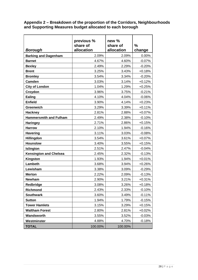**Appendix 2 – Breakdown of the proportion of the Corridors, Neighbourhoods and Supporting Measures budget allocated to each borough** 

| Borough                       | previous %<br>share of<br>allocation | new %<br>share of<br>allocation | %<br>change |
|-------------------------------|--------------------------------------|---------------------------------|-------------|
| <b>Barking and Dagenham</b>   | 2.09%                                | 2.09%                           | 0.00%       |
| <b>Barnet</b>                 | 4.67%                                | 4.60%                           | $-0.07%$    |
| <b>Bexley</b>                 | 2.49%                                | 2.29%                           | $-0.20%$    |
| <b>Brent</b>                  | 3.25%                                | 3.43%                           | $+0.18%$    |
| <b>Bromley</b>                | 3.54%                                | 3.34%                           | $-0.20%$    |
| <b>Camden</b>                 | 3.03%                                | 3.14%                           | $+0.12%$    |
| <b>City of London</b>         | 1.04%                                | 1.29%                           | $+0.25%$    |
| Croydon                       | 3.96%                                | 3.75%                           | $-0.21%$    |
| Ealing                        | 4.10%                                | 4.04%                           | $-0.06%$    |
| <b>Enfield</b>                | 3.90%                                | 4.14%                           | $+0.23%$    |
| <b>Greenwich</b>              | 3.29%                                | 3.39%                           | $+0.11%$    |
| <b>Hackney</b>                | 2.81%                                | 2.88%                           | $+0.07%$    |
| <b>Hammersmith and Fulham</b> | 2.49%                                | 2.38%                           | $-0.10%$    |
| <b>Haringey</b>               | 2.71%                                | 2.86%                           | $+0.15%$    |
| <b>Harrow</b>                 | 2.10%                                | 1.94%                           | $-0.16%$    |
| <b>Havering</b>               | 3.11%                                | 3.03%                           | $-0.08%$    |
| Hillingdon                    | 3.54%                                | 3.61%                           | $+0.07%$    |
| <b>Hounslow</b>               | 3.40%                                | 3.55%                           | $+0.15%$    |
| Islington                     | 2.51%                                | 2.47%                           | $-0.04%$    |
| <b>Kensington and Chelsea</b> | 2.45%                                | 2.32%                           | $-0.13%$    |
| Kingston                      | 1.93%                                | 1.94%                           | $+0.01%$    |
| Lambeth                       | 3.68%                                | 3.94%                           | $+0.26%$    |
| Lewisham                      | 3.38%                                | 3.09%                           | $-0.29%$    |
| <b>Merton</b>                 | 2.22%                                | 2.09%                           | $-0.13%$    |
| <b>Newham</b>                 | 2.90%                                | 3.21%                           | $+0.31%$    |
| Redbridge                     | 3.08%                                | 3.26%                           | $+0.18%$    |
| Richmond                      | 2.43%                                | 2.33%                           | $-0.10%$    |
| <b>Southwark</b>              | 3.60%                                | 3.49%                           | $-0.11%$    |
| <b>Sutton</b>                 | 1.94%                                | 1.79%                           | $-0.15%$    |
| <b>Tower Hamlets</b>          | 3.15%                                | 3.29%                           | $+0.15%$    |
| <b>Waltham Forest</b>         | 2.80%                                | 2.81%                           | $+0.02%$    |
| Wandsworth                    | 3.55%                                | 3.52%                           | $-0.03%$    |
| Westminster                   | 4.88%                                | 4.70%                           | $-0.18%$    |
| <b>TOTAL</b>                  | 100.00%                              | 100.00%                         |             |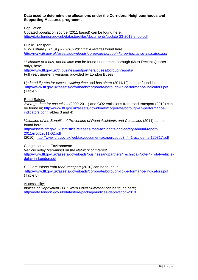#### **Data used to determine the allocations under the Corridors, Neighbourhoods and Supporting Measures programme**

Population

Updated population source (2011 based) can be found here; http://data.london.gov.uk/datastorefiles/documents/update-23-2012-snpp.pdf

Public Transport:

*% bus share (LTDS) (2009/10- 2011/12 Average)* found here; *http://www.tfl.gov.uk/assets/downloads/corporate/borough-lip-performance-indicators.pdf*

*% chance of a bus, not on time* can be found under each borough (Most Recent Quarter only), here;

http://www.tfl.gov.uk/tfl/businessandpartners/buses/boroughreports/ Full year, quarterly versions provided by London Buses

*Updated figures for excess waiting time* and *bus share* (2011/12) can be found in; http://www.tfl.gov.uk/assets/downloads/corporate/borough-lip-performance-indicators.pdf (Table 2)

Road Safety:

*Average data for casualties* (2009-2011) and CO2 emissions from road transport (2010) can be found in; http://www.tfl.gov.uk/assets/downloads/corporate/borough-lip-performanceindicators.pdf (Tables 3 and 4)

*Valuation of the Benefits of Prevention of Road Accidents and Casualties* (2011) can be found here;

http://assets.dft.gov.uk/statistics/releases/road-accidents-and-safety-annual-report-2011/rrcgb2011-02.pdf

(2010) http://www.dft.gov.uk/webtag/documents/expert/pdf/u3\_4\_1-accidents-120817.pdf

Congestion and Environment**:**

*Vehicle delay (veh-mins) on the Network of Interest*  http://www.tfl.gov.uk/assets/downloads/businessandpartners/Technical-Note-4-Total-vehicledelay-in-London.pdf

*CO2 emissions from road transport* (2010) can be found in; http://www.tfl.gov.uk/assets/downloads/corporate/borough-lip-performance-indicators.pdf (Table 5)

Accessibility:

*Indices of Deprivation 2007 Ward Level Summary* can be found here; http://data.london.gov.uk/datastore/package/indices-deprivation-2010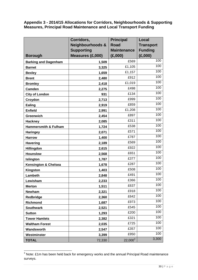**Appendix 3 - 2014/15 Allocations for Corridors, Neighbourhoods & Supporting Measures, Principal Road Maintenance and Local Transport Funding** 

|                                 | Corridors,                  | <b>Principal</b>   | <b>Local</b>     |
|---------------------------------|-----------------------------|--------------------|------------------|
|                                 | <b>Neighbourhoods &amp;</b> | <b>Road</b>        | <b>Transport</b> |
|                                 | <b>Supporting</b>           | <b>Maintenance</b> | <b>Funding</b>   |
| <b>Borough</b>                  | Measures (£,000)            | (E,000)            | (E,000)          |
| <b>Barking and Dagenham</b>     | 1,509                       | £569               | 100              |
| <b>Barnet</b>                   | 3,325                       | £1,105             | 100              |
| <b>Bexley</b>                   | 1,659                       | £1,157             | 100              |
| <b>Brent</b>                    | 2,480                       | £912               | 100              |
| <b>Bromley</b>                  | 2,418                       | £1,019             | 100              |
| <b>Camden</b>                   | 2,275                       | £498               | 100              |
| <b>City of London</b>           | 931                         | £134               | 100              |
| Croydon                         | 2,713                       | £999               | 100              |
| <b>Ealing</b>                   | 2,919                       | £859               | 100              |
| <b>Enfield</b>                  | 2,991                       | £1,208             | $\overline{1}00$ |
| <b>Greenwich</b>                | 2,454                       | £897               | 100              |
| <b>Hackney</b>                  | 2,085                       | £311               | 100              |
| <b>Hammersmith &amp; Fulham</b> | 1,724                       | £538               | 100              |
| <b>Haringey</b>                 | 2,071                       | £571               | 100              |
| <b>Harrow</b>                   | 1,400                       | £787               | 100              |
| <b>Havering</b>                 | 2,189                       | £569               | 100              |
| Hillingdon                      | 2,615                       | £922               | 100              |
| <b>Hounslow</b>                 | 2,568                       | £651               | 100              |
| Islington                       | 1,787                       | £377               | 100              |
| <b>Kensington &amp; Chelsea</b> | 1,678                       | £287               | 100              |
| Kingston                        | 1,403                       | £508               | 100              |
| Lambeth                         | 2,848                       | £491               | 100              |
| Lewisham                        | 2,233                       | £366               | 100              |
| <b>Merton</b>                   | 1,511                       | £637               | 100              |
| Newham                          | 2,321                       | £918               | 100              |
| Redbridge                       | 2,360                       | £642               | 100              |
| Richmond                        | 1,687                       | £973               | 100              |
| <b>Southwark</b>                | 2,521                       | £545               | 100              |
| <b>Sutton</b>                   | 1,293                       | £200               | 100              |
| <b>Tower Hamlets</b>            | 2,382                       | £321               | 100              |
| <b>Waltham Forest</b>           | 2,035                       | £725               | 100              |
| Wandsworth                      | 2,547                       | £357               | 100              |
| Westminster                     | 3,399                       | £950               | 100              |
| <b>TOTAL</b>                    | 72,330                      | $22,000^3$         | 3,300            |

 3 Note: £1m has been held back for emergency works and the annual Principal Road maintenance surveys.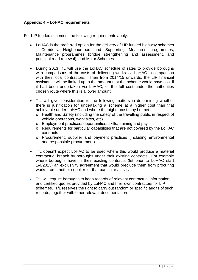#### **Appendix 4 – LoHAC requirements**

For LIP funded schemes, the following requirements apply:

- LoHAC is the preferred option for the delivery of LIP funded highway schemes - Corridors, Neighbourhood and Supporting Measures programmes, Maintenance programmes (bridge strengthening and assessment, and principal road renewal), and Major Schemes.
- During 2013 TfL will use the LoHAC schedule of rates to provide boroughs with comparisons of the costs of delivering works via LoHAC in comparison with their local contractors. Then from 2014/15 onwards, the LIP financial assistance will be limited up to the amount that the scheme would have cost if it had been undertaken via LoHAC, or the full cost under the authorities chosen route where this is a lower amount.
- TfL will give consideration to the following matters in determining whether there is justification for undertaking a scheme at a higher cost than that achievable under LoHAC and where the higher cost may be met:
	- o Health and Safety (including the safety of the travelling public in respect of vehicle operations, work sites, etc)
	- o Employment practices, opportunities, skills, training and pay
	- o Requirements for particular capabilities that are not covered by the LoHAC contracts
	- o Procurement, supplier and payment practices (including environmental and responsible procurement).
- TfL doesn't expect LoHAC to be used where this would produce a material contractual breach by boroughs under their existing contracts. For example where boroughs have in their existing contracts (let prior to LoHAC start 1/4/2013) an exclusivity agreement that would preclude them from procuring works from another supplier for that particular activity.
- TfL will require boroughs to keep records of relevant contractual information and certified quotes provided by LoHAC and their own contractors for LIP schemes. TfL reserves the right to carry out random or specific audits of such records, together with other relevant documentation